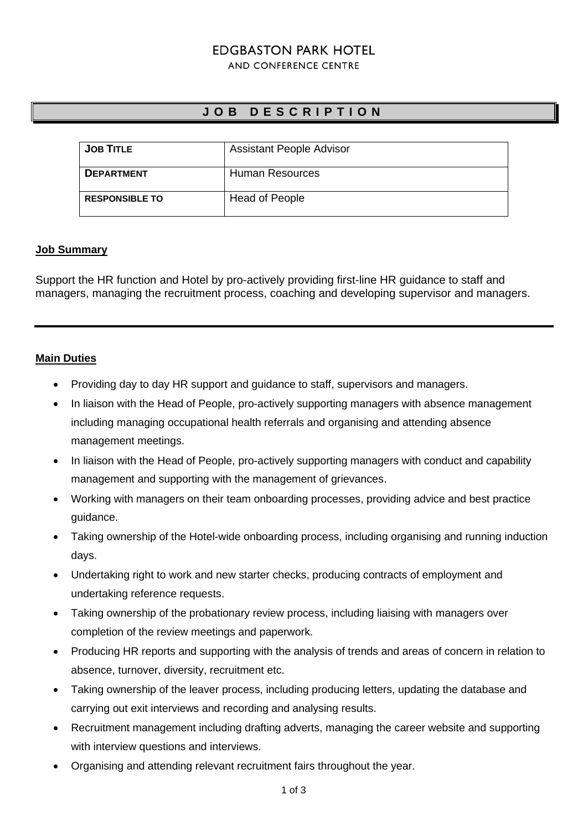# **EDGBASTON PARK HOTEL**

#### AND CONFERENCE CENTRE

# **J O B D E S C R I P T I O N**

| <b>JOB TITLE</b>      | <b>Assistant People Advisor</b> |
|-----------------------|---------------------------------|
| <b>DEPARTMENT</b>     | <b>Human Resources</b>          |
| <b>RESPONSIBLE TO</b> | <b>Head of People</b>           |

## **Job Summary**

Support the HR function and Hotel by pro-actively providing first-line HR guidance to staff and managers, managing the recruitment process, coaching and developing supervisor and managers.

# **Main Duties**

- Providing day to day HR support and guidance to staff, supervisors and managers.
- In liaison with the Head of People, pro-actively supporting managers with absence management including managing occupational health referrals and organising and attending absence management meetings.
- In liaison with the Head of People, pro-actively supporting managers with conduct and capability management and supporting with the management of grievances.
- Working with managers on their team onboarding processes, providing advice and best practice guidance.
- Taking ownership of the Hotel-wide onboarding process, including organising and running induction days.
- Undertaking right to work and new starter checks, producing contracts of employment and undertaking reference requests.
- Taking ownership of the probationary review process, including liaising with managers over completion of the review meetings and paperwork.
- Producing HR reports and supporting with the analysis of trends and areas of concern in relation to absence, turnover, diversity, recruitment etc.
- Taking ownership of the leaver process, including producing letters, updating the database and carrying out exit interviews and recording and analysing results.
- Recruitment management including drafting adverts, managing the career website and supporting with interview questions and interviews.
- Organising and attending relevant recruitment fairs throughout the year.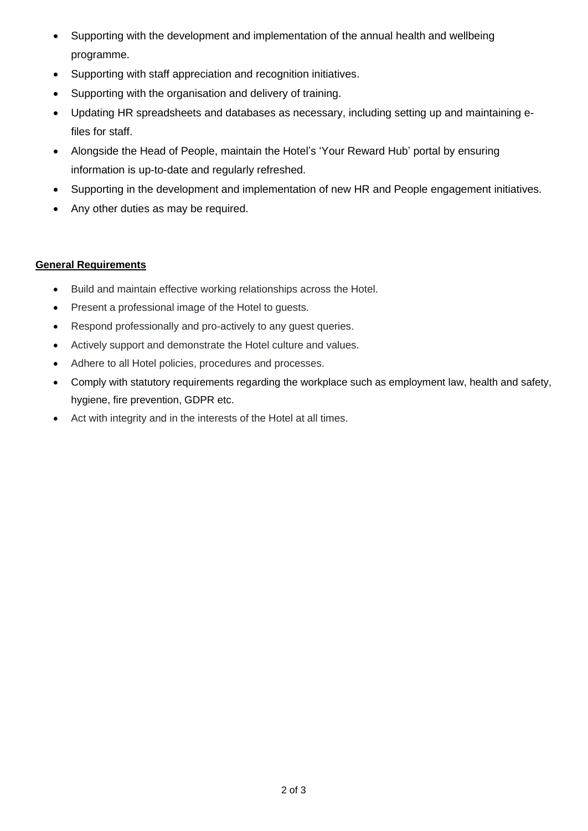- Supporting with the development and implementation of the annual health and wellbeing programme.
- Supporting with staff appreciation and recognition initiatives.
- Supporting with the organisation and delivery of training.
- Updating HR spreadsheets and databases as necessary, including setting up and maintaining efiles for staff.
- Alongside the Head of People, maintain the Hotel's 'Your Reward Hub' portal by ensuring information is up-to-date and regularly refreshed.
- Supporting in the development and implementation of new HR and People engagement initiatives.
- Any other duties as may be required.

# **General Requirements**

- Build and maintain effective working relationships across the Hotel.
- Present a professional image of the Hotel to guests.
- Respond professionally and pro-actively to any guest queries.
- Actively support and demonstrate the Hotel culture and values.
- Adhere to all Hotel policies, procedures and processes.
- Comply with statutory requirements regarding the workplace such as employment law, health and safety, hygiene, fire prevention, GDPR etc.
- Act with integrity and in the interests of the Hotel at all times.